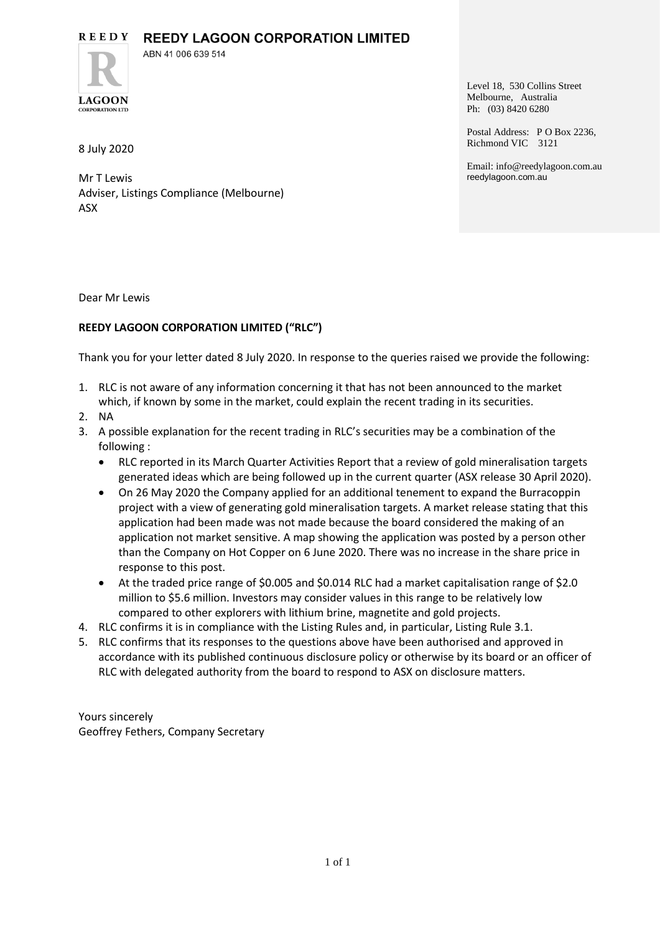#### **REEDY REEDY LAGOON CORPORATION LIMITED**



ABN 41 006 639 514

8 July 2020

Mr T Lewis Adviser, Listings Compliance (Melbourne) ASX

Level 18, 530 Collins Street Melbourne, Australia Ph: (03) 8420 6280

Postal Address: P O Box 2236, Richmond VIC 3121

Email: info@reedylagoon.com.au reedylagoon.com.au

Dear Mr Lewis

# **REEDY LAGOON CORPORATION LIMITED ("RLC")**

Thank you for your letter dated 8 July 2020. In response to the queries raised we provide the following:

- 1. RLC is not aware of any information concerning it that has not been announced to the market which, if known by some in the market, could explain the recent trading in its securities.
- 2. NA
- 3. A possible explanation for the recent trading in RLC's securities may be a combination of the following :
	- RLC reported in its March Quarter Activities Report that a review of gold mineralisation targets generated ideas which are being followed up in the current quarter (ASX release 30 April 2020).
	- On 26 May 2020 the Company applied for an additional tenement to expand the Burracoppin project with a view of generating gold mineralisation targets. A market release stating that this application had been made was not made because the board considered the making of an application not market sensitive. A map showing the application was posted by a person other than the Company on Hot Copper on 6 June 2020. There was no increase in the share price in response to this post.
	- At the traded price range of \$0.005 and \$0.014 RLC had a market capitalisation range of \$2.0 million to \$5.6 million. Investors may consider values in this range to be relatively low compared to other explorers with lithium brine, magnetite and gold projects.
- 4. RLC confirms it is in compliance with the Listing Rules and, in particular, Listing Rule 3.1.
- 5. RLC confirms that its responses to the questions above have been authorised and approved in accordance with its published continuous disclosure policy or otherwise by its board or an officer of RLC with delegated authority from the board to respond to ASX on disclosure matters.

Yours sincerely Geoffrey Fethers, Company Secretary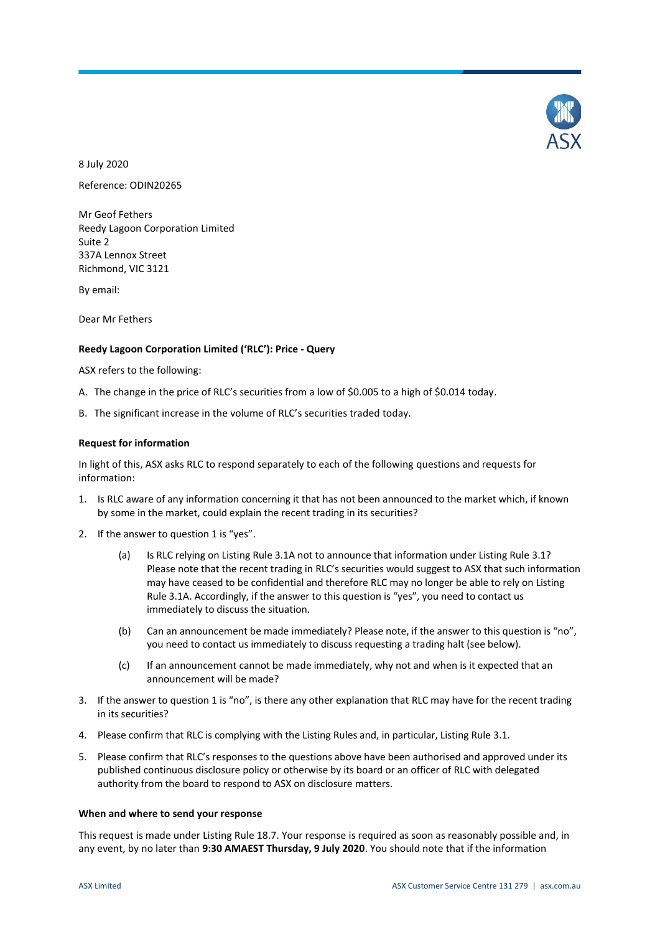

8 July 2020 Reference: ODIN20265

Mr Geof Fethers Reedy Lagoon Corporation Limited Suite 2 337A Lennox Street Richmond, VIC 3121

By email:

Dear Mr Fethers

#### **Reedy Lagoon Corporation Limited ('RLC'): Price - Query**

ASX refers to the following:

- A. The change in the price of RLC's securities from a low of \$0.005 to a high of \$0.014 today.
- B. The significant increase in the volume of RLC's securities traded today.

#### **Request for information**

In light of this, ASX asks RLC to respond separately to each of the following questions and requests for information:

- 1. Is RLC aware of any information concerning it that has not been announced to the market which, if known by some in the market, could explain the recent trading in its securities?
- 2. If the answer to question 1 is "yes".
	- (a) Is RLC relying on Listing Rule 3.1A not to announce that information under Listing Rule 3.1? Please note that the recent trading in RLC's securities would suggest to ASX that such information may have ceased to be confidential and therefore RLC may no longer be able to rely on Listing Rule 3.1A. Accordingly, if the answer to this question is "yes", you need to contact us immediately to discuss the situation.
	- (b) Can an announcement be made immediately? Please note, if the answer to this question is "no", you need to contact us immediately to discuss requesting a trading halt (see below).
	- (c) If an announcement cannot be made immediately, why not and when is it expected that an announcement will be made?
- 3. If the answer to question 1 is "no", is there any other explanation that RLC may have for the recent trading in its securities?
- 4. Please confirm that RLC is complying with the Listing Rules and, in particular, Listing Rule 3.1.
- 5. Please confirm that RLC's responses to the questions above have been authorised and approved under its published continuous disclosure policy or otherwise by its board or an officer of RLC with delegated authority from the board to respond to ASX on disclosure matters.

#### **When and where to send your response**

This request is made under Listing Rule 18.7. Your response is required as soon as reasonably possible and, in any event, by no later than **9:30 AMAEST Thursday, 9 July 2020**. You should note that if the information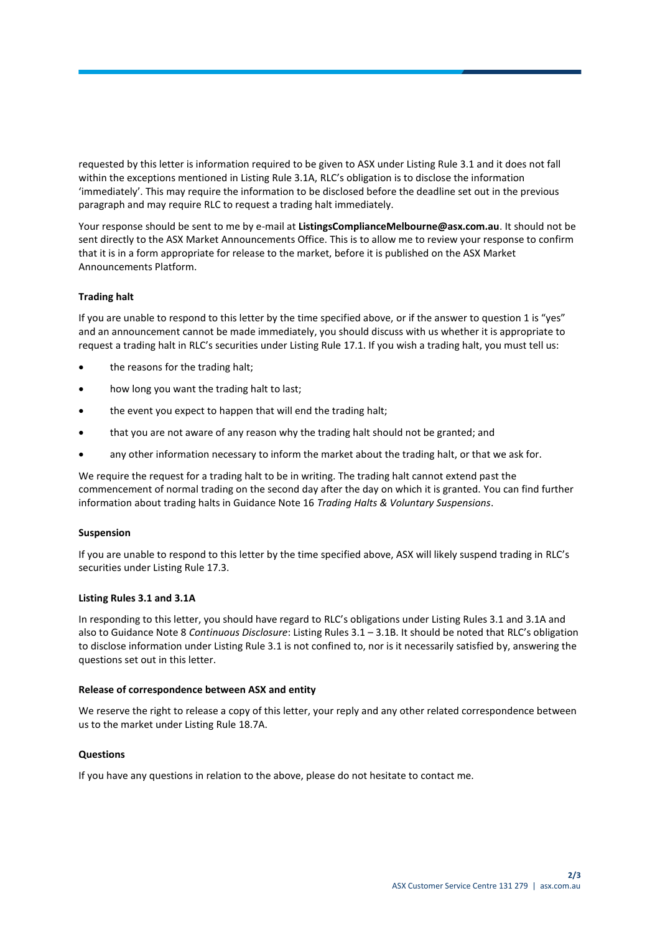requested by this letter is information required to be given to ASX under Listing Rule 3.1 and it does not fall within the exceptions mentioned in Listing Rule 3.1A, RLC's obligation is to disclose the information 'immediately'. This may require the information to be disclosed before the deadline set out in the previous paragraph and may require RLC to request a trading halt immediately.

Your response should be sent to me by e-mail at **ListingsComplianceMelbourne@asx.com.au**. It should not be sent directly to the ASX Market Announcements Office. This is to allow me to review your response to confirm that it is in a form appropriate for release to the market, before it is published on the ASX Market Announcements Platform.

## **Trading halt**

If you are unable to respond to this letter by the time specified above, or if the answer to question 1 is "yes" and an announcement cannot be made immediately, you should discuss with us whether it is appropriate to request a trading halt in RLC's securities under Listing Rule 17.1. If you wish a trading halt, you must tell us:

- the reasons for the trading halt;
- how long you want the trading halt to last;
- the event you expect to happen that will end the trading halt;
- that you are not aware of any reason why the trading halt should not be granted; and
- any other information necessary to inform the market about the trading halt, or that we ask for.

We require the request for a trading halt to be in writing. The trading halt cannot extend past the commencement of normal trading on the second day after the day on which it is granted. You can find further information about trading halts in Guidance Note 16 *Trading Halts & Voluntary Suspensions*.

## **Suspension**

If you are unable to respond to this letter by the time specified above, ASX will likely suspend trading in RLC's securities under Listing Rule 17.3.

## **Listing Rules 3.1 and 3.1A**

In responding to this letter, you should have regard to RLC's obligations under Listing Rules 3.1 and 3.1A and also to Guidance Note 8 *Continuous Disclosure*: Listing Rules 3.1 – 3.1B. It should be noted that RLC's obligation to disclose information under Listing Rule 3.1 is not confined to, nor is it necessarily satisfied by, answering the questions set out in this letter.

## **Release of correspondence between ASX and entity**

We reserve the right to release a copy of this letter, your reply and any other related correspondence between us to the market under Listing Rule 18.7A.

## **Questions**

If you have any questions in relation to the above, please do not hesitate to contact me.